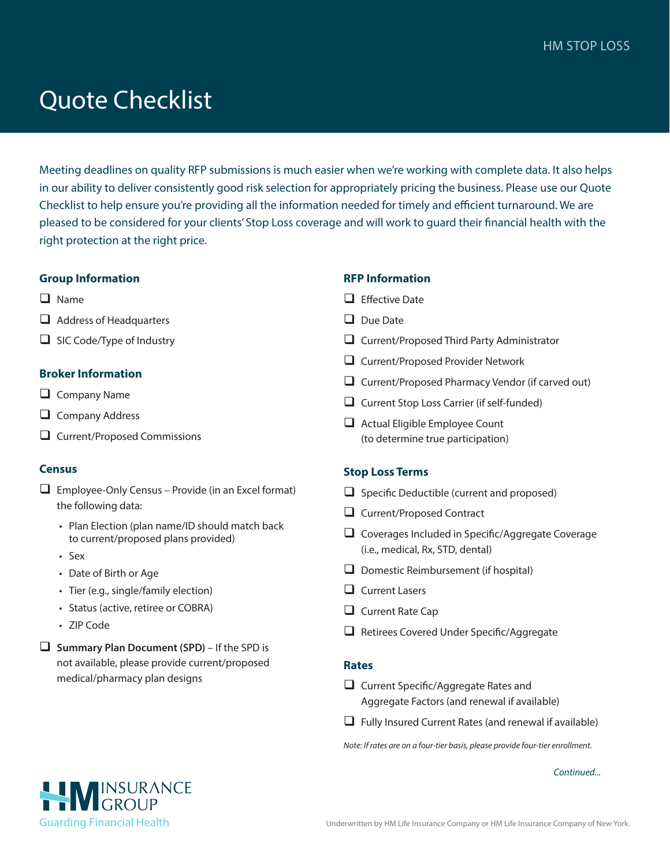# Quote Checklist

Meeting deadlines on quality RFP submissions is much easier when we're working with complete data. It also helps in our ability to deliver consistently good risk selection for appropriately pricing the business. Please use our Quote Checklist to help ensure you're providing all the information needed for timely and efficient turnaround. We are pleased to be considered for your clients' Stop Loss coverage and will work to guard their financial health with the right protection at the right price.

## **Group Information**

- $\Box$  Name
- $\Box$  Address of Headquarters
- $\Box$  SIC Code/Type of Industry

## **Broker Information**

- $\Box$  Company Name
- $\Box$  Company Address
- $\Box$  Current/Proposed Commissions

## **Census**

- $\Box$  Employee-Only Census Provide (in an Excel format) the following data:
	- Plan Election (plan name/ID should match back to current/proposed plans provided)
	- Sex
	- Date of Birth or Age
	- Tier (e.g., single/family election)
	- Status (active, retiree or COBRA)
	- ZIP Code
- □ **Summary Plan Document (SPD)** If the SPD is not available, please provide current/proposed medical/pharmacy plan designs

## **RFP Information**

- $\Box$  Effective Date
- $\Box$  Due Date
- $\Box$  Current/Proposed Third Party Administrator
- $\Box$  Current/Proposed Provider Network
- $\Box$  Current/Proposed Pharmacy Vendor (if carved out)
- $\Box$  Current Stop Loss Carrier (if self-funded)
- $\Box$  Actual Eligible Employee Count (to determine true participation)

## **Stop Loss Terms**

- $\Box$  Specific Deductible (current and proposed)
- $\Box$  Current/Proposed Contract
- $\Box$  Coverages Included in Specific/Aggregate Coverage (i.e., medical, Rx, STD, dental)
- $\Box$  Domestic Reimbursement (if hospital)
- $\Box$  Current Lasers
- $\Box$  Current Rate Cap
- $\Box$  Retirees Covered Under Specific/Aggregate

#### **Rates**

- $\Box$  Current Specific/Aggregate Rates and Aggregate Factors (and renewal if available)
- $\Box$  Fully Insured Current Rates (and renewal if available)

*Note: If rates are on a four-tier basis, please provide four-tier enrollment.*

*Continued...*